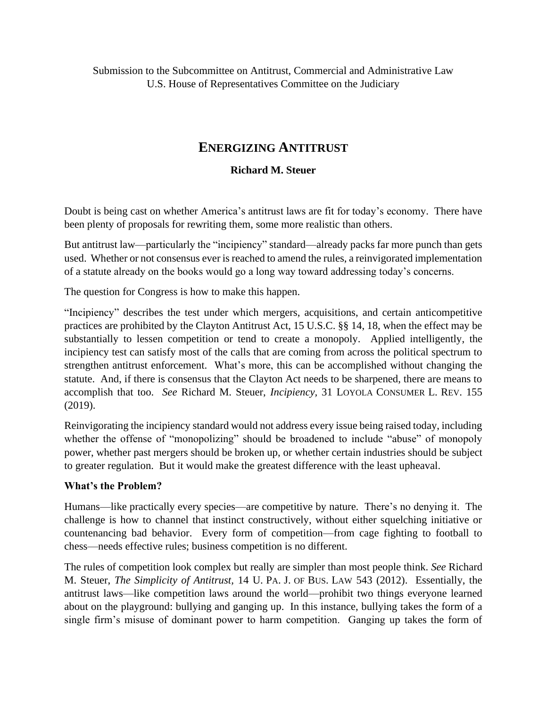Submission to the Subcommittee on Antitrust, Commercial and Administrative Law U.S. House of Representatives Committee on the Judiciary

# **ENERGIZING ANTITRUST**

## **Richard M. Steuer**

Doubt is being cast on whether America's antitrust laws are fit for today's economy. There have been plenty of proposals for rewriting them, some more realistic than others.

But antitrust law—particularly the "incipiency" standard—already packs far more punch than gets used. Whether or not consensus ever is reached to amend the rules, a reinvigorated implementation of a statute already on the books would go a long way toward addressing today's concerns.

The question for Congress is how to make this happen.

"Incipiency" describes the test under which mergers, acquisitions, and certain anticompetitive practices are prohibited by the Clayton Antitrust Act, 15 U.S.C. §§ 14, 18, when the effect may be substantially to lessen competition or tend to create a monopoly. Applied intelligently, the incipiency test can satisfy most of the calls that are coming from across the political spectrum to strengthen antitrust enforcement. What's more, this can be accomplished without changing the statute. And, if there is consensus that the Clayton Act needs to be sharpened, there are means to accomplish that too. *See* Richard M. Steuer, *Incipiency,* 31 LOYOLA CONSUMER L. REV. 155 (2019).

Reinvigorating the incipiency standard would not address every issue being raised today, including whether the offense of "monopolizing" should be broadened to include "abuse" of monopoly power, whether past mergers should be broken up, or whether certain industries should be subject to greater regulation. But it would make the greatest difference with the least upheaval.

### **What's the Problem?**

Humans—like practically every species—are competitive by nature. There's no denying it. The challenge is how to channel that instinct constructively, without either squelching initiative or countenancing bad behavior. Every form of competition—from cage fighting to football to chess—needs effective rules; business competition is no different.

The rules of competition look complex but really are simpler than most people think. *See* Richard M. Steuer, *The Simplicity of Antitrust,* 14 U. PA. J. OF BUS. LAW 543 (2012). Essentially, the antitrust laws—like competition laws around the world—prohibit two things everyone learned about on the playground: bullying and ganging up. In this instance, bullying takes the form of a single firm's misuse of dominant power to harm competition. Ganging up takes the form of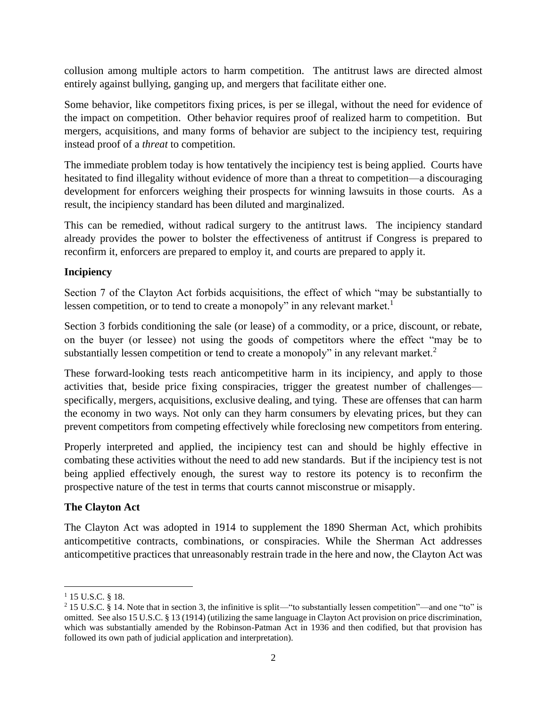collusion among multiple actors to harm competition. The antitrust laws are directed almost entirely against bullying, ganging up, and mergers that facilitate either one.

Some behavior, like competitors fixing prices, is per se illegal, without the need for evidence of the impact on competition. Other behavior requires proof of realized harm to competition. But mergers, acquisitions, and many forms of behavior are subject to the incipiency test, requiring instead proof of a *threat* to competition.

The immediate problem today is how tentatively the incipiency test is being applied. Courts have hesitated to find illegality without evidence of more than a threat to competition—a discouraging development for enforcers weighing their prospects for winning lawsuits in those courts. As a result, the incipiency standard has been diluted and marginalized.

This can be remedied, without radical surgery to the antitrust laws. The incipiency standard already provides the power to bolster the effectiveness of antitrust if Congress is prepared to reconfirm it, enforcers are prepared to employ it, and courts are prepared to apply it.

# **Incipiency**

Section 7 of the Clayton Act forbids acquisitions, the effect of which "may be substantially to lessen competition, or to tend to create a monopoly" in any relevant market.<sup>1</sup>

Section 3 forbids conditioning the sale (or lease) of a commodity, or a price, discount, or rebate, on the buyer (or lessee) not using the goods of competitors where the effect "may be to substantially lessen competition or tend to create a monopoly" in any relevant market.<sup>2</sup>

These forward-looking tests reach anticompetitive harm in its incipiency, and apply to those activities that, beside price fixing conspiracies, trigger the greatest number of challenges specifically, mergers, acquisitions, exclusive dealing, and tying. These are offenses that can harm the economy in two ways. Not only can they harm consumers by elevating prices, but they can prevent competitors from competing effectively while foreclosing new competitors from entering.

Properly interpreted and applied, the incipiency test can and should be highly effective in combating these activities without the need to add new standards. But if the incipiency test is not being applied effectively enough, the surest way to restore its potency is to reconfirm the prospective nature of the test in terms that courts cannot misconstrue or misapply.

# **The Clayton Act**

The Clayton Act was adopted in 1914 to supplement the 1890 Sherman Act, which prohibits anticompetitive contracts, combinations, or conspiracies. While the Sherman Act addresses anticompetitive practices that unreasonably restrain trade in the here and now, the Clayton Act was

<sup>&</sup>lt;sup>1</sup> 15 U.S.C. § 18.

<sup>&</sup>lt;sup>2</sup> 15 U.S.C. § 14. Note that in section 3, the infinitive is split—"to substantially lessen competition"—and one "to" is omitted. See also 15 U.S.C. § 13 (1914) (utilizing the same language in Clayton Act provision on price discrimination, which was substantially amended by the Robinson-Patman Act in 1936 and then codified, but that provision has followed its own path of judicial application and interpretation).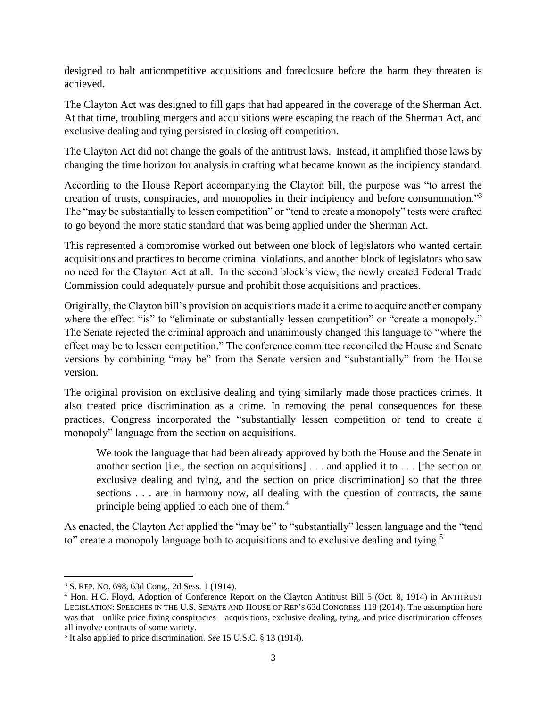designed to halt anticompetitive acquisitions and foreclosure before the harm they threaten is achieved.

The Clayton Act was designed to fill gaps that had appeared in the coverage of the Sherman Act. At that time, troubling mergers and acquisitions were escaping the reach of the Sherman Act, and exclusive dealing and tying persisted in closing off competition.

The Clayton Act did not change the goals of the antitrust laws. Instead, it amplified those laws by changing the time horizon for analysis in crafting what became known as the incipiency standard.

According to the House Report accompanying the Clayton bill, the purpose was "to arrest the creation of trusts, conspiracies, and monopolies in their incipiency and before consummation."<sup>3</sup> The "may be substantially to lessen competition" or "tend to create a monopoly" tests were drafted to go beyond the more static standard that was being applied under the Sherman Act.

This represented a compromise worked out between one block of legislators who wanted certain acquisitions and practices to become criminal violations, and another block of legislators who saw no need for the Clayton Act at all. In the second block's view, the newly created Federal Trade Commission could adequately pursue and prohibit those acquisitions and practices.

Originally, the Clayton bill's provision on acquisitions made it a crime to acquire another company where the effect "is" to "eliminate or substantially lessen competition" or "create a monopoly." The Senate rejected the criminal approach and unanimously changed this language to "where the effect may be to lessen competition." The conference committee reconciled the House and Senate versions by combining "may be" from the Senate version and "substantially" from the House version.

The original provision on exclusive dealing and tying similarly made those practices crimes. It also treated price discrimination as a crime. In removing the penal consequences for these practices, Congress incorporated the "substantially lessen competition or tend to create a monopoly" language from the section on acquisitions.

We took the language that had been already approved by both the House and the Senate in another section [i.e., the section on acquisitions] . . . and applied it to . . . [the section on exclusive dealing and tying, and the section on price discrimination] so that the three sections . . . are in harmony now, all dealing with the question of contracts, the same principle being applied to each one of them.<sup>4</sup>

As enacted, the Clayton Act applied the "may be" to "substantially" lessen language and the "tend to" create a monopoly language both to acquisitions and to exclusive dealing and tying.<sup>5</sup>

<sup>3</sup> S. REP. NO. 698, 63d Cong., 2d Sess. 1 (1914).

<sup>4</sup> Hon. H.C. Floyd, Adoption of Conference Report on the Clayton Antitrust Bill 5 (Oct. 8, 1914) in ANTITRUST LEGISLATION: SPEECHES IN THE U.S. SENATE AND HOUSE OF REP'S 63d CONGRESS 118 (2014). The assumption here was that—unlike price fixing conspiracies—acquisitions, exclusive dealing, tying, and price discrimination offenses all involve contracts of some variety.

<sup>5</sup> It also applied to price discrimination. *See* 15 U.S.C. § 13 (1914).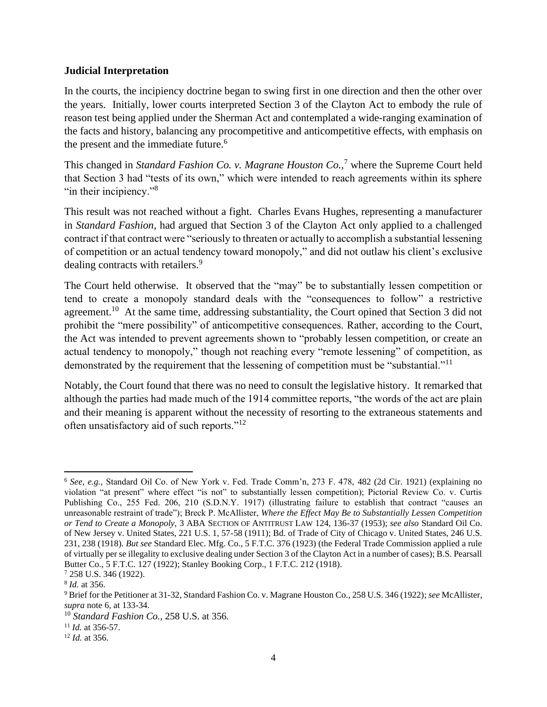#### **Judicial Interpretation**

In the courts, the incipiency doctrine began to swing first in one direction and then the other over the years. Initially, lower courts interpreted Section 3 of the Clayton Act to embody the rule of reason test being applied under the Sherman Act and contemplated a wide-ranging examination of the facts and history, balancing any procompetitive and anticompetitive effects, with emphasis on the present and the immediate future.<sup>6</sup>

This changed in *Standard Fashion Co. v. Magrane Houston Co.,*<sup>7</sup> where the Supreme Court held that Section 3 had "tests of its own," which were intended to reach agreements within its sphere "in their incipiency."<sup>8</sup>

This result was not reached without a fight. Charles Evans Hughes, representing a manufacturer in *Standard Fashion,* had argued that Section 3 of the Clayton Act only applied to a challenged contract if that contract were "seriously to threaten or actually to accomplish a substantial lessening of competition or an actual tendency toward monopoly," and did not outlaw his client's exclusive dealing contracts with retailers.<sup>9</sup>

The Court held otherwise. It observed that the "may" be to substantially lessen competition or tend to create a monopoly standard deals with the "consequences to follow" a restrictive agreement.<sup>10</sup> At the same time, addressing substantiality, the Court opined that Section 3 did not prohibit the "mere possibility" of anticompetitive consequences. Rather, according to the Court, the Act was intended to prevent agreements shown to "probably lessen competition, or create an actual tendency to monopoly," though not reaching every "remote lessening" of competition, as demonstrated by the requirement that the lessening of competition must be "substantial."<sup>11</sup>

Notably, the Court found that there was no need to consult the legislative history. It remarked that although the parties had made much of the 1914 committee reports, "the words of the act are plain and their meaning is apparent without the necessity of resorting to the extraneous statements and often unsatisfactory aid of such reports."<sup>12</sup>

<sup>6</sup> *See, e.g.,* Standard Oil Co. of New York v. Fed. Trade Comm'n, 273 F. 478, 482 (2d Cir. 1921) (explaining no violation "at present" where effect "is not" to substantially lessen competition); Pictorial Review Co. v. Curtis Publishing Co., 255 Fed. 206, 210 (S.D.N.Y. 1917) (illustrating failure to establish that contract "causes an unreasonable restraint of trade"); Breck P. McAllister, *Where the Effect May Be to Substantially Lessen Competition or Tend to Create a Monopoly,* 3 ABA SECTION OF ANTITRUST LAW 124, 136-37 (1953); *see also* Standard Oil Co. of New Jersey v. United States, 221 U.S. 1, 57-58 (1911); Bd. of Trade of City of Chicago v. United States, 246 U.S. 231, 238 (1918). *But see* Standard Elec. Mfg. Co., 5 F.T.C. 376 (1923) (the Federal Trade Commission applied a rule of virtually per se illegality to exclusive dealing under Section 3 of the Clayton Act in a number of cases); B.S. Pearsall Butter Co., 5 F.T.C. 127 (1922); Stanley Booking Corp., 1 F.T.C. 212 (1918).

<sup>7</sup> 258 U.S. 346 (1922).

<sup>8</sup> *Id.* at 356.

<sup>9</sup> Brief for the Petitioner at 31-32, Standard Fashion Co. v. Magrane Houston Co., 258 U.S. 346 (1922); *see* McAllister, *supra* note 6, at 133-34.

<sup>10</sup> *Standard Fashion Co.,* 258 U.S. at 356.

<sup>11</sup> *Id.* at 356-57.

<sup>12</sup> *Id.* at 356.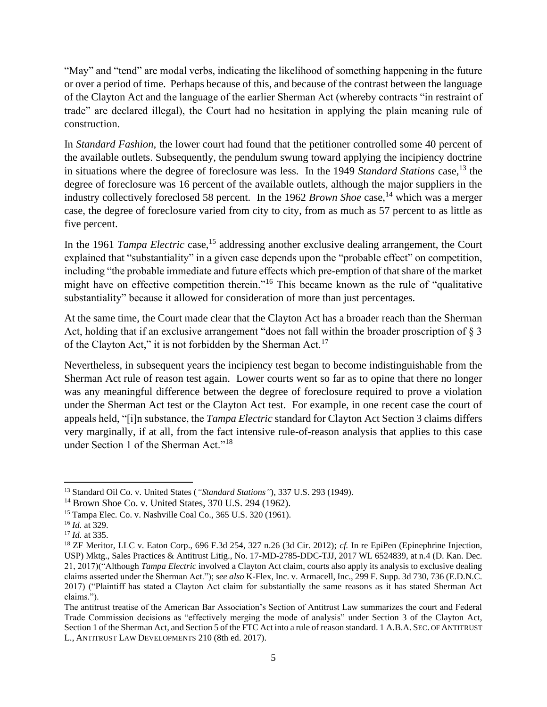"May" and "tend" are modal verbs, indicating the likelihood of something happening in the future or over a period of time. Perhaps because of this, and because of the contrast between the language of the Clayton Act and the language of the earlier Sherman Act (whereby contracts "in restraint of trade" are declared illegal), the Court had no hesitation in applying the plain meaning rule of construction.

In *Standard Fashion,* the lower court had found that the petitioner controlled some 40 percent of the available outlets. Subsequently, the pendulum swung toward applying the incipiency doctrine in situations where the degree of foreclosure was less. In the 1949 *Standard Stations* case,<sup>13</sup> the degree of foreclosure was 16 percent of the available outlets, although the major suppliers in the industry collectively foreclosed 58 percent. In the 1962 *Brown Shoe* case,<sup>14</sup> which was a merger case, the degree of foreclosure varied from city to city, from as much as 57 percent to as little as five percent.

In the 1961 *Tampa Electric* case,<sup>15</sup> addressing another exclusive dealing arrangement, the Court explained that "substantiality" in a given case depends upon the "probable effect" on competition, including "the probable immediate and future effects which pre-emption of that share of the market might have on effective competition therein."<sup>16</sup> This became known as the rule of "qualitative substantiality" because it allowed for consideration of more than just percentages.

At the same time, the Court made clear that the Clayton Act has a broader reach than the Sherman Act, holding that if an exclusive arrangement "does not fall within the broader proscription of § 3 of the Clayton Act," it is not forbidden by the Sherman Act.<sup>17</sup>

Nevertheless, in subsequent years the incipiency test began to become indistinguishable from the Sherman Act rule of reason test again. Lower courts went so far as to opine that there no longer was any meaningful difference between the degree of foreclosure required to prove a violation under the Sherman Act test or the Clayton Act test. For example, in one recent case the court of appeals held, "[i]n substance, the *Tampa Electric* standard for Clayton Act Section 3 claims differs very marginally, if at all, from the fact intensive rule-of-reason analysis that applies to this case under Section 1 of the Sherman Act."<sup>18</sup>

<sup>13</sup> Standard Oil Co. v. United States (*"Standard Stations"*), 337 U.S. 293 (1949).

<sup>14</sup> Brown Shoe Co. v. United States, 370 U.S. 294 (1962).

<sup>15</sup> Tampa Elec. Co. v. Nashville Coal Co., 365 U.S. 320 (1961).

<sup>16</sup> *Id.* at 329.

<sup>17</sup> *Id.* at 335.

<sup>18</sup> ZF Meritor, LLC v. Eaton Corp., 696 F.3d 254, 327 n.26 (3d Cir. 2012); *cf.* In re EpiPen (Epinephrine Injection, USP) Mktg., Sales Practices & Antitrust Litig., No. 17-MD-2785-DDC-TJJ, 2017 WL 6524839, at n.4 (D. Kan. Dec. 21, 2017)("Although *Tampa Electric* involved a Clayton Act claim, courts also apply its analysis to exclusive dealing claims asserted under the Sherman Act."); *see also* K-Flex, Inc. v. Armacell, Inc., 299 F. Supp. 3d 730, 736 (E.D.N.C. 2017) ("Plaintiff has stated a Clayton Act claim for substantially the same reasons as it has stated Sherman Act claims.").

The antitrust treatise of the American Bar Association's Section of Antitrust Law summarizes the court and Federal Trade Commission decisions as "effectively merging the mode of analysis" under Section 3 of the Clayton Act, Section 1 of the Sherman Act, and Section 5 of the FTC Act into a rule of reason standard. 1 A.B.A. SEC. OF ANTITRUST L., ANTITRUST LAW DEVELOPMENTS 210 (8th ed. 2017).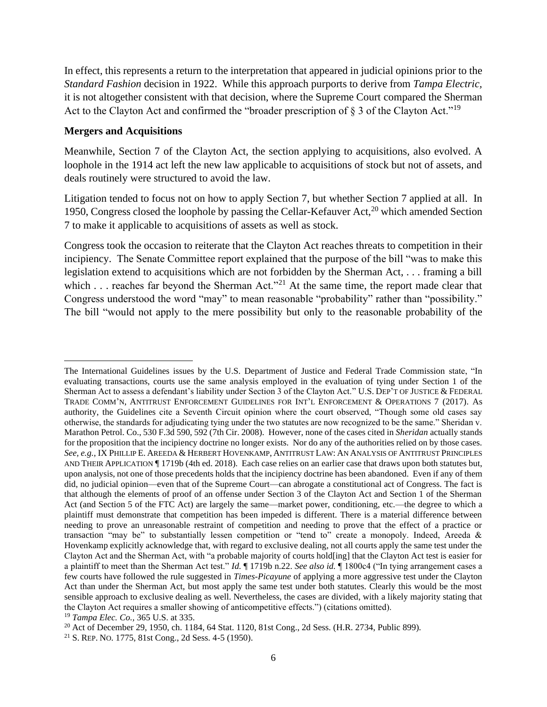In effect, this represents a return to the interpretation that appeared in judicial opinions prior to the *Standard Fashion* decision in 1922. While this approach purports to derive from *Tampa Electric,* it is not altogether consistent with that decision, where the Supreme Court compared the Sherman Act to the Clayton Act and confirmed the "broader prescription of  $\S 3$  of the Clayton Act."<sup>19</sup>

#### **Mergers and Acquisitions**

Meanwhile, Section 7 of the Clayton Act, the section applying to acquisitions, also evolved. A loophole in the 1914 act left the new law applicable to acquisitions of stock but not of assets, and deals routinely were structured to avoid the law.

Litigation tended to focus not on how to apply Section 7, but whether Section 7 applied at all. In 1950, Congress closed the loophole by passing the Cellar-Kefauver Act, $^{20}$  which amended Section 7 to make it applicable to acquisitions of assets as well as stock.

Congress took the occasion to reiterate that the Clayton Act reaches threats to competition in their incipiency. The Senate Committee report explained that the purpose of the bill "was to make this legislation extend to acquisitions which are not forbidden by the Sherman Act, . . . framing a bill which . . . reaches far beyond the Sherman Act."<sup>21</sup> At the same time, the report made clear that Congress understood the word "may" to mean reasonable "probability" rather than "possibility." The bill "would not apply to the mere possibility but only to the reasonable probability of the

The International Guidelines issues by the U.S. Department of Justice and Federal Trade Commission state, "In evaluating transactions, courts use the same analysis employed in the evaluation of tying under Section 1 of the Sherman Act to assess a defendant's liability under Section 3 of the Clayton Act." U.S. DEP'T OF JUSTICE & FEDERAL TRADE COMM'N, ANTITRUST ENFORCEMENT GUIDELINES FOR INT'L ENFORCEMENT & OPERATIONS 7 (2017). As authority, the Guidelines cite a Seventh Circuit opinion where the court observed, "Though some old cases say otherwise, the standards for adjudicating tying under the two statutes are now recognized to be the same." Sheridan v. Marathon Petrol. Co., 530 F.3d 590, 592 (7th Cir. 2008). However, none of the cases cited in *Sheridan* actually stands for the proposition that the incipiency doctrine no longer exists. Nor do any of the authorities relied on by those cases. *See, e.g.,* IX PHILLIP E. AREEDA & HERBERT HOVENKAMP, ANTITRUST LAW: AN ANALYSIS OF ANTITRUST PRINCIPLES AND THEIR APPLICATION ¶ 1719b (4th ed. 2018). Each case relies on an earlier case that draws upon both statutes but, upon analysis, not one of those precedents holds that the incipiency doctrine has been abandoned. Even if any of them did, no judicial opinion—even that of the Supreme Court—can abrogate a constitutional act of Congress. The fact is that although the elements of proof of an offense under Section 3 of the Clayton Act and Section 1 of the Sherman Act (and Section 5 of the FTC Act) are largely the same—market power, conditioning, etc.—the degree to which a plaintiff must demonstrate that competition has been impeded is different. There is a material difference between needing to prove an unreasonable restraint of competition and needing to prove that the effect of a practice or transaction "may be" to substantially lessen competition or "tend to" create a monopoly. Indeed, Areeda & Hovenkamp explicitly acknowledge that, with regard to exclusive dealing, not all courts apply the same test under the Clayton Act and the Sherman Act, with "a probable majority of courts hold[ing] that the Clayton Act test is easier for a plaintiff to meet than the Sherman Act test." *Id.* ¶ 1719b n.22. *See also id.* ¶ 1800c4 ("In tying arrangement cases a few courts have followed the rule suggested in *Times-Picayune* of applying a more aggressive test under the Clayton Act than under the Sherman Act, but most apply the same test under both statutes. Clearly this would be the most sensible approach to exclusive dealing as well. Nevertheless, the cases are divided, with a likely majority stating that the Clayton Act requires a smaller showing of anticompetitive effects.") (citations omitted).

<sup>19</sup> *Tampa Elec. Co.,* 365 U.S. at 335.

<sup>&</sup>lt;sup>20</sup> Act of December 29, 1950, ch. 1184, 64 Stat. 1120, 81st Cong., 2d Sess. (H.R. 2734, Public 899).

<sup>21</sup> S. REP. NO. 1775, 81st Cong., 2d Sess. 4-5 (1950).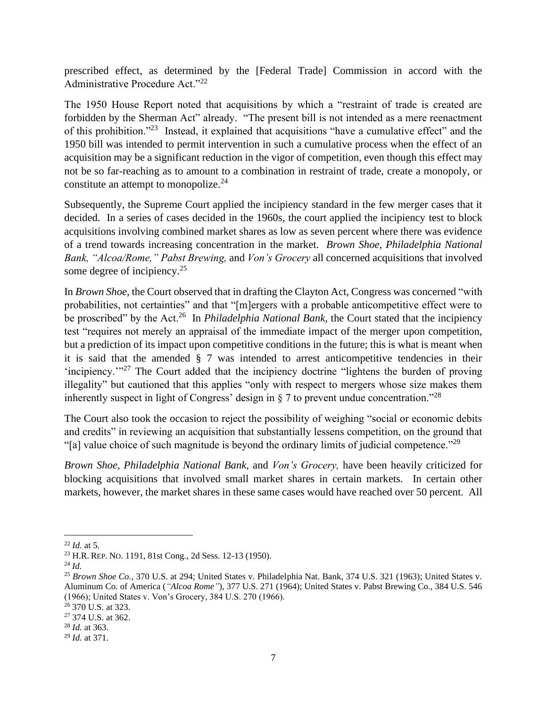prescribed effect, as determined by the [Federal Trade] Commission in accord with the Administrative Procedure Act."<sup>22</sup>

The 1950 House Report noted that acquisitions by which a "restraint of trade is created are forbidden by the Sherman Act" already. "The present bill is not intended as a mere reenactment of this prohibition."<sup>23</sup> Instead, it explained that acquisitions "have a cumulative effect" and the 1950 bill was intended to permit intervention in such a cumulative process when the effect of an acquisition may be a significant reduction in the vigor of competition, even though this effect may not be so far-reaching as to amount to a combination in restraint of trade, create a monopoly, or constitute an attempt to monopolize.<sup>24</sup>

Subsequently, the Supreme Court applied the incipiency standard in the few merger cases that it decided. In a series of cases decided in the 1960s, the court applied the incipiency test to block acquisitions involving combined market shares as low as seven percent where there was evidence of a trend towards increasing concentration in the market. *Brown Shoe, Philadelphia National Bank, "Alcoa/Rome," Pabst Brewing,* and *Von's Grocery* all concerned acquisitions that involved some degree of incipiency. $25$ 

In *Brown Shoe,* the Court observed that in drafting the Clayton Act, Congress was concerned "with probabilities, not certainties" and that "[m]ergers with a probable anticompetitive effect were to be proscribed" by the Act.<sup>26</sup> In *Philadelphia National Bank*, the Court stated that the incipiency test "requires not merely an appraisal of the immediate impact of the merger upon competition, but a prediction of its impact upon competitive conditions in the future; this is what is meant when it is said that the amended  $\S$  7 was intended to arrest anticompetitive tendencies in their 'incipiency.'"<sup>27</sup> The Court added that the incipiency doctrine "lightens the burden of proving illegality" but cautioned that this applies "only with respect to mergers whose size makes them inherently suspect in light of Congress' design in  $\S$  7 to prevent undue concentration.<sup>728</sup>

The Court also took the occasion to reject the possibility of weighing "social or economic debits and credits" in reviewing an acquisition that substantially lessens competition, on the ground that "[a] value choice of such magnitude is beyond the ordinary limits of judicial competence."<sup>29</sup>

*Brown Shoe, Philadelphia National Bank,* and *Von's Grocery,* have been heavily criticized for blocking acquisitions that involved small market shares in certain markets. In certain other markets, however, the market shares in these same cases would have reached over 50 percent. All

 $^{22}$  *Id.* at 5.

<sup>23</sup> H.R. REP. NO. 1191, 81st Cong., 2d Sess. 12-13 (1950).

<sup>24</sup> *Id.*

<sup>25</sup> *Brown Shoe Co.,* 370 U.S. at 294; United States v. Philadelphia Nat. Bank, 374 U.S. 321 (1963); United States v. Aluminum Co. of America (*"Alcoa Rome"*), 377 U.S. 271 (1964); United States v. Pabst Brewing Co., 384 U.S. 546 (1966); United States v. Von's Grocery, 384 U.S. 270 (1966).

<sup>26</sup> 370 U.S. at 323.

<sup>27</sup> 374 U.S. at 362.

<sup>28</sup> *Id.* at 363.

<sup>29</sup> *Id.* at 371.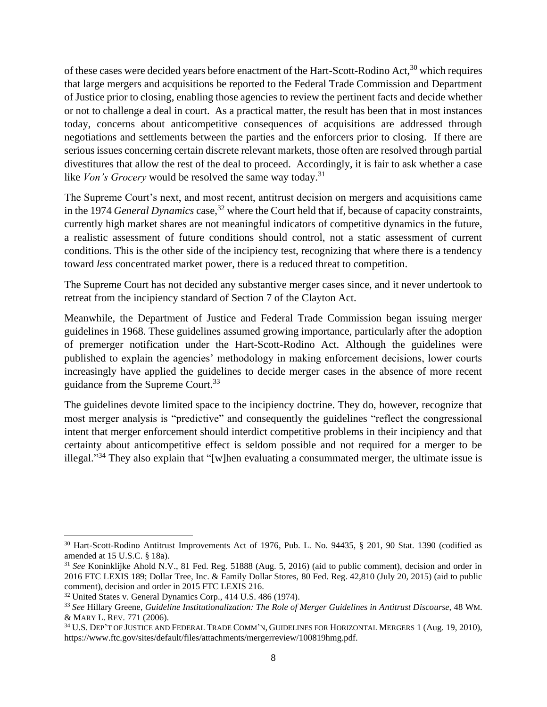of these cases were decided years before enactment of the Hart-Scott-Rodino Act,<sup>30</sup> which requires that large mergers and acquisitions be reported to the Federal Trade Commission and Department of Justice prior to closing, enabling those agencies to review the pertinent facts and decide whether or not to challenge a deal in court. As a practical matter, the result has been that in most instances today, concerns about anticompetitive consequences of acquisitions are addressed through negotiations and settlements between the parties and the enforcers prior to closing. If there are serious issues concerning certain discrete relevant markets, those often are resolved through partial divestitures that allow the rest of the deal to proceed. Accordingly, it is fair to ask whether a case like *Von's Grocery* would be resolved the same way today.<sup>31</sup>

The Supreme Court's next, and most recent, antitrust decision on mergers and acquisitions came in the 1974 *General Dynamics* case,<sup>32</sup> where the Court held that if, because of capacity constraints, currently high market shares are not meaningful indicators of competitive dynamics in the future, a realistic assessment of future conditions should control, not a static assessment of current conditions. This is the other side of the incipiency test, recognizing that where there is a tendency toward *less* concentrated market power, there is a reduced threat to competition.

The Supreme Court has not decided any substantive merger cases since, and it never undertook to retreat from the incipiency standard of Section 7 of the Clayton Act.

Meanwhile, the Department of Justice and Federal Trade Commission began issuing merger guidelines in 1968. These guidelines assumed growing importance, particularly after the adoption of premerger notification under the Hart-Scott-Rodino Act. Although the guidelines were published to explain the agencies' methodology in making enforcement decisions, lower courts increasingly have applied the guidelines to decide merger cases in the absence of more recent guidance from the Supreme Court.<sup>33</sup>

The guidelines devote limited space to the incipiency doctrine. They do, however, recognize that most merger analysis is "predictive" and consequently the guidelines "reflect the congressional intent that merger enforcement should interdict competitive problems in their incipiency and that certainty about anticompetitive effect is seldom possible and not required for a merger to be illegal."<sup>34</sup> They also explain that "[w]hen evaluating a consummated merger, the ultimate issue is

<sup>&</sup>lt;sup>30</sup> Hart-Scott-Rodino Antitrust Improvements Act of 1976, Pub. L. No. 94435, § 201, 90 Stat. 1390 (codified as amended at 15 U.S.C. § 18a).

<sup>31</sup> *See* Koninklijke Ahold N.V., 81 Fed. Reg. 51888 (Aug. 5, 2016) (aid to public comment), decision and order in 2016 FTC LEXIS 189; Dollar Tree, Inc. & Family Dollar Stores, 80 Fed. Reg. 42,810 (July 20, 2015) (aid to public comment), decision and order in 2015 FTC LEXIS 216.

<sup>32</sup> United States v. General Dynamics Corp., 414 U.S. 486 (1974).

<sup>33</sup> *See* Hillary Greene, *Guideline Institutionalization: The Role of Merger Guidelines in Antitrust Discourse,* 48 WM. & MARY L. REV. 771 (2006).

<sup>34</sup> U.S. DEP'T OF JUSTICE AND FEDERAL TRADE COMM'N, GUIDELINES FOR HORIZONTAL MERGERS 1 (Aug. 19, 2010), https://www.ftc.gov/sites/default/files/attachments/mergerreview/100819hmg.pdf.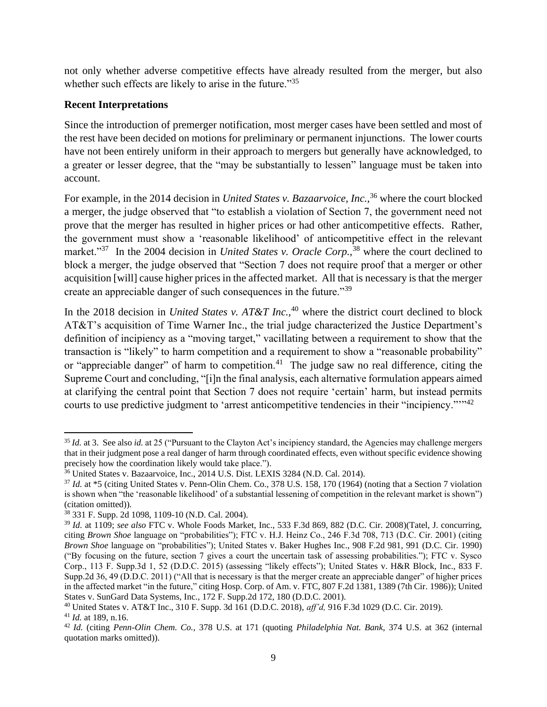not only whether adverse competitive effects have already resulted from the merger, but also whether such effects are likely to arise in the future."<sup>35</sup>

### **Recent Interpretations**

Since the introduction of premerger notification, most merger cases have been settled and most of the rest have been decided on motions for preliminary or permanent injunctions. The lower courts have not been entirely uniform in their approach to mergers but generally have acknowledged, to a greater or lesser degree, that the "may be substantially to lessen" language must be taken into account.

For example, in the 2014 decision in *United States v. Bazaarvoice, Inc.,*<sup>36</sup> where the court blocked a merger, the judge observed that "to establish a violation of Section 7, the government need not prove that the merger has resulted in higher prices or had other anticompetitive effects. Rather, the government must show a 'reasonable likelihood' of anticompetitive effect in the relevant market."<sup>37</sup> In the 2004 decision in *United States v. Oracle Corp.*,<sup>38</sup> where the court declined to block a merger, the judge observed that "Section 7 does not require proof that a merger or other acquisition [will] cause higher prices in the affected market. All that is necessary is that the merger create an appreciable danger of such consequences in the future."<sup>39</sup>

In the 2018 decision in *United States v. AT&T Inc.*,<sup>40</sup> where the district court declined to block AT&T's acquisition of Time Warner Inc., the trial judge characterized the Justice Department's definition of incipiency as a "moving target," vacillating between a requirement to show that the transaction is "likely" to harm competition and a requirement to show a "reasonable probability" or "appreciable danger" of harm to competition.<sup>41</sup> The judge saw no real difference, citing the Supreme Court and concluding, "[i]n the final analysis, each alternative formulation appears aimed at clarifying the central point that Section 7 does not require 'certain' harm, but instead permits courts to use predictive judgment to 'arrest anticompetitive tendencies in their "incipiency.""<sup>42</sup>

<sup>&</sup>lt;sup>35</sup> *Id.* at 3. See also *id.* at 25 ("Pursuant to the Clayton Act's incipiency standard, the Agencies may challenge mergers that in their judgment pose a real danger of harm through coordinated effects, even without specific evidence showing precisely how the coordination likely would take place.").

<sup>36</sup> United States v. Bazaarvoice, Inc., 2014 U.S. Dist. LEXIS 3284 (N.D. Cal. 2014).

<sup>37</sup> *Id.* at \*5 (citing United States v. Penn-Olin Chem. Co., 378 U.S. 158, 170 (1964) (noting that a Section 7 violation is shown when "the 'reasonable likelihood' of a substantial lessening of competition in the relevant market is shown") (citation omitted)).

<sup>38</sup> 331 F. Supp. 2d 1098, 1109-10 (N.D. Cal. 2004).

<sup>39</sup> *Id.* at 1109; *see also* FTC v. Whole Foods Market, Inc., 533 F.3d 869, 882 (D.C. Cir. 2008)(Tatel, J. concurring, citing *Brown Shoe* language on "probabilities"); FTC v. H.J. Heinz Co., 246 F.3d 708, 713 (D.C. Cir. 2001) (citing *Brown Shoe* language on "probabilities"); United States v. Baker Hughes Inc., 908 F.2d 981, 991 (D.C. Cir. 1990) ("By focusing on the future, section 7 gives a court the uncertain task of assessing probabilities."); FTC v. Sysco Corp., 113 F. Supp.3d 1, 52 (D.D.C. 2015) (assessing "likely effects"); United States v. H&R Block, Inc., 833 F. Supp.2d 36, 49 (D.D.C. 2011) ("All that is necessary is that the merger create an appreciable danger" of higher prices in the affected market "in the future," citing Hosp. Corp. of Am. v. FTC, 807 F.2d 1381, 1389 (7th Cir. 1986)); United States v. SunGard Data Systems, Inc., 172 F. Supp.2d 172, 180 (D.D.C. 2001).

<sup>40</sup> United States v. AT&T Inc., 310 F. Supp. 3d 161 (D.D.C. 2018), *aff'd,* 916 F.3d 1029 (D.C. Cir. 2019).

<sup>41</sup> *Id.* at 189, n.16.

<sup>42</sup> *Id.* (citing *Penn-Olin Chem. Co.,* 378 U.S. at 171 (quoting *Philadelphia Nat. Bank,* 374 U.S. at 362 (internal quotation marks omitted)).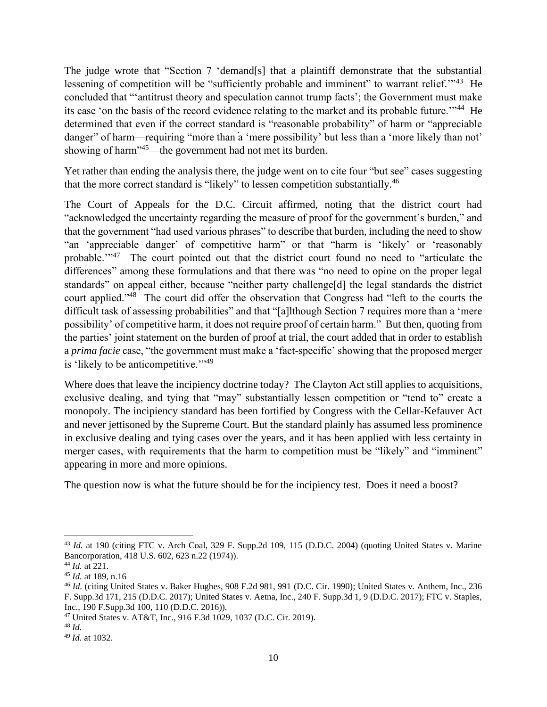The judge wrote that "Section 7 'demand[s] that a plaintiff demonstrate that the substantial lessening of competition will be "sufficiently probable and imminent" to warrant relief."<sup>43</sup> He concluded that "'antitrust theory and speculation cannot trump facts'; the Government must make its case 'on the basis of the record evidence relating to the market and its probable future."<sup>44</sup> He determined that even if the correct standard is "reasonable probability" of harm or "appreciable danger" of harm—requiring "more than a 'mere possibility' but less than a 'more likely than not' showing of harm"<sup>45</sup>—the government had not met its burden.

Yet rather than ending the analysis there, the judge went on to cite four "but see" cases suggesting that the more correct standard is "likely" to lessen competition substantially.<sup>46</sup>

The Court of Appeals for the D.C. Circuit affirmed, noting that the district court had "acknowledged the uncertainty regarding the measure of proof for the government's burden," and that the government "had used various phrases" to describe that burden, including the need to show "an 'appreciable danger' of competitive harm" or that "harm is 'likely' or 'reasonably probable."<sup>47</sup> The court pointed out that the district court found no need to "articulate the differences" among these formulations and that there was "no need to opine on the proper legal standards" on appeal either, because "neither party challenge[d] the legal standards the district court applied."<sup>48</sup> The court did offer the observation that Congress had "left to the courts the difficult task of assessing probabilities" and that "[a]lthough Section 7 requires more than a 'mere possibility' of competitive harm, it does not require proof of certain harm." But then, quoting from the parties' joint statement on the burden of proof at trial, the court added that in order to establish a *prima facie* case, "the government must make a 'fact-specific' showing that the proposed merger is 'likely to be anticompetitive."<sup>49</sup>

Where does that leave the incipiency doctrine today? The Clayton Act still applies to acquisitions, exclusive dealing, and tying that "may" substantially lessen competition or "tend to" create a monopoly. The incipiency standard has been fortified by Congress with the Cellar-Kefauver Act and never jettisoned by the Supreme Court. But the standard plainly has assumed less prominence in exclusive dealing and tying cases over the years, and it has been applied with less certainty in merger cases, with requirements that the harm to competition must be "likely" and "imminent" appearing in more and more opinions.

The question now is what the future should be for the incipiency test. Does it need a boost?

<sup>&</sup>lt;sup>43</sup> *Id.* at 190 (citing FTC v. Arch Coal, 329 F. Supp.2d 109, 115 (D.D.C. 2004) (quoting United States v. Marine Bancorporation, 418 U.S. 602, 623 n.22 (1974)).

<sup>44</sup> *Id.* at 221.

<sup>45</sup> *Id.* at 189, n.16

<sup>46</sup> *Id.* (citing United States v. Baker Hughes, 908 F.2d 981, 991 (D.C. Cir. 1990); United States v. Anthem, Inc., 236 F. Supp.3d 171, 215 (D.D.C. 2017); United States v. Aetna, Inc., 240 F. Supp.3d 1, 9 (D.D.C. 2017); FTC v. Staples, Inc., 190 F.Supp.3d 100, 110 (D.D.C. 2016)).

<sup>47</sup> United States v. AT&T, Inc., 916 F.3d 1029, 1037 (D.C. Cir. 2019).

<sup>48</sup> *Id.*

<sup>49</sup> *Id.* at 1032.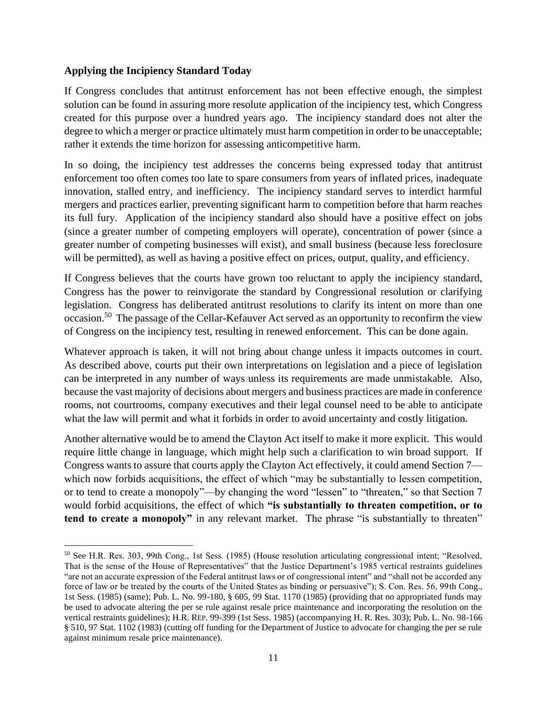### **Applying the Incipiency Standard Today**

If Congress concludes that antitrust enforcement has not been effective enough, the simplest solution can be found in assuring more resolute application of the incipiency test, which Congress created for this purpose over a hundred years ago. The incipiency standard does not alter the degree to which a merger or practice ultimately must harm competition in order to be unacceptable; rather it extends the time horizon for assessing anticompetitive harm.

In so doing, the incipiency test addresses the concerns being expressed today that antitrust enforcement too often comes too late to spare consumers from years of inflated prices, inadequate innovation, stalled entry, and inefficiency. The incipiency standard serves to interdict harmful mergers and practices earlier, preventing significant harm to competition before that harm reaches its full fury. Application of the incipiency standard also should have a positive effect on jobs (since a greater number of competing employers will operate), concentration of power (since a greater number of competing businesses will exist), and small business (because less foreclosure will be permitted), as well as having a positive effect on prices, output, quality, and efficiency.

If Congress believes that the courts have grown too reluctant to apply the incipiency standard, Congress has the power to reinvigorate the standard by Congressional resolution or clarifying legislation. Congress has deliberated antitrust resolutions to clarify its intent on more than one occasion.<sup>50</sup> The passage of the Cellar-Kefauver Act served as an opportunity to reconfirm the view of Congress on the incipiency test, resulting in renewed enforcement. This can be done again.

Whatever approach is taken, it will not bring about change unless it impacts outcomes in court. As described above, courts put their own interpretations on legislation and a piece of legislation can be interpreted in any number of ways unless its requirements are made unmistakable. Also, because the vast majority of decisions about mergers and business practices are made in conference rooms, not courtrooms, company executives and their legal counsel need to be able to anticipate what the law will permit and what it forbids in order to avoid uncertainty and costly litigation.

Another alternative would be to amend the Clayton Act itself to make it more explicit. This would require little change in language, which might help such a clarification to win broad support. If Congress wants to assure that courts apply the Clayton Act effectively, it could amend Section 7 which now forbids acquisitions, the effect of which "may be substantially to lessen competition, or to tend to create a monopoly"—by changing the word "lessen" to "threaten," so that Section 7 would forbid acquisitions, the effect of which **"is substantially to threaten competition, or to tend to create a monopoly"** in any relevant market. The phrase "is substantially to threaten"

<sup>50</sup> See H.R. Res. 303, 99th Cong., 1st Sess. (1985) (House resolution articulating congressional intent; "Resolved, That is the sense of the House of Representatives" that the Justice Department's 1985 vertical restraints guidelines "are not an accurate expression of the Federal antitrust laws or of congressional intent" and "shall not be accorded any force of law or be treated by the courts of the United States as binding or persuasive"); S. Con. Res. 56, 99th Cong., 1st Sess. (1985) (same); Pub. L. No. 99-180, § 605, 99 Stat. 1170 (1985) (providing that no appropriated funds may be used to advocate altering the per se rule against resale price maintenance and incorporating the resolution on the vertical restraints guidelines); H.R. REP. 99-399 (1st Sess. 1985) (accompanying H. R. Res. 303); Pub. L. No. 98-166 § 510, 97 Stat. 1102 (1983) (cutting off funding for the Department of Justice to advocate for changing the per se rule against minimum resale price maintenance).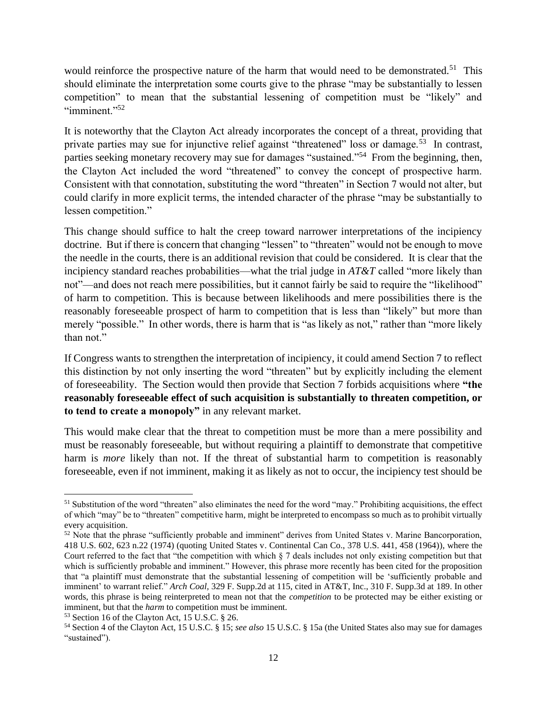would reinforce the prospective nature of the harm that would need to be demonstrated.<sup>51</sup> This should eliminate the interpretation some courts give to the phrase "may be substantially to lessen competition" to mean that the substantial lessening of competition must be "likely" and "imminent."<sup>52</sup>

It is noteworthy that the Clayton Act already incorporates the concept of a threat, providing that private parties may sue for injunctive relief against "threatened" loss or damage.<sup>53</sup> In contrast, parties seeking monetary recovery may sue for damages "sustained."<sup>54</sup> From the beginning, then, the Clayton Act included the word "threatened" to convey the concept of prospective harm. Consistent with that connotation, substituting the word "threaten" in Section 7 would not alter, but could clarify in more explicit terms, the intended character of the phrase "may be substantially to lessen competition."

This change should suffice to halt the creep toward narrower interpretations of the incipiency doctrine. But if there is concern that changing "lessen" to "threaten" would not be enough to move the needle in the courts, there is an additional revision that could be considered. It is clear that the incipiency standard reaches probabilities—what the trial judge in *AT&T* called "more likely than not"—and does not reach mere possibilities, but it cannot fairly be said to require the "likelihood" of harm to competition. This is because between likelihoods and mere possibilities there is the reasonably foreseeable prospect of harm to competition that is less than "likely" but more than merely "possible." In other words, there is harm that is "as likely as not," rather than "more likely than not."

If Congress wants to strengthen the interpretation of incipiency, it could amend Section 7 to reflect this distinction by not only inserting the word "threaten" but by explicitly including the element of foreseeability. The Section would then provide that Section 7 forbids acquisitions where **"the reasonably foreseeable effect of such acquisition is substantially to threaten competition, or to tend to create a monopoly"** in any relevant market.

This would make clear that the threat to competition must be more than a mere possibility and must be reasonably foreseeable, but without requiring a plaintiff to demonstrate that competitive harm is *more* likely than not. If the threat of substantial harm to competition is reasonably foreseeable, even if not imminent, making it as likely as not to occur, the incipiency test should be

<sup>&</sup>lt;sup>51</sup> Substitution of the word "threaten" also eliminates the need for the word "may." Prohibiting acquisitions, the effect of which "may" be to "threaten" competitive harm, might be interpreted to encompass so much as to prohibit virtually every acquisition.

<sup>&</sup>lt;sup>52</sup> Note that the phrase "sufficiently probable and imminent" derives from United States v. Marine Bancorporation, 418 U.S. 602, 623 n.22 (1974) (quoting United States v. Continental Can Co., 378 U.S. 441, 458 (1964)), where the Court referred to the fact that "the competition with which § 7 deals includes not only existing competition but that which is sufficiently probable and imminent." However, this phrase more recently has been cited for the proposition that "a plaintiff must demonstrate that the substantial lessening of competition will be 'sufficiently probable and imminent' to warrant relief." *Arch Coal,* 329 F. Supp.2d at 115, cited in AT&T, Inc., 310 F. Supp.3d at 189. In other words, this phrase is being reinterpreted to mean not that the *competition* to be protected may be either existing or imminent, but that the *harm* to competition must be imminent.

<sup>53</sup> Section 16 of the Clayton Act, 15 U.S.C. § 26.

<sup>54</sup> Section 4 of the Clayton Act, 15 U.S.C. § 15; *see also* 15 U.S.C. § 15a (the United States also may sue for damages "sustained").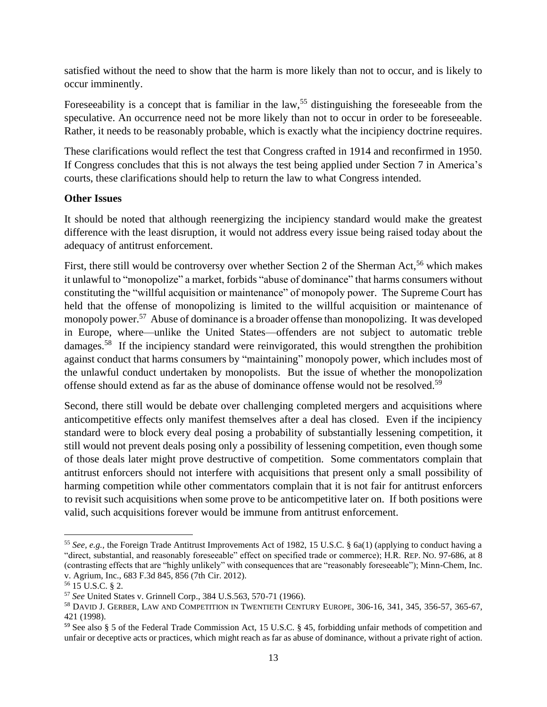satisfied without the need to show that the harm is more likely than not to occur, and is likely to occur imminently.

Foreseeability is a concept that is familiar in the law,<sup>55</sup> distinguishing the foreseeable from the speculative. An occurrence need not be more likely than not to occur in order to be foreseeable. Rather, it needs to be reasonably probable, which is exactly what the incipiency doctrine requires.

These clarifications would reflect the test that Congress crafted in 1914 and reconfirmed in 1950. If Congress concludes that this is not always the test being applied under Section 7 in America's courts, these clarifications should help to return the law to what Congress intended.

### **Other Issues**

It should be noted that although reenergizing the incipiency standard would make the greatest difference with the least disruption, it would not address every issue being raised today about the adequacy of antitrust enforcement.

First, there still would be controversy over whether Section 2 of the Sherman Act,<sup>56</sup> which makes it unlawful to "monopolize" a market, forbids "abuse of dominance" that harms consumers without constituting the "willful acquisition or maintenance" of monopoly power. The Supreme Court has held that the offense of monopolizing is limited to the willful acquisition or maintenance of monopoly power.<sup>57</sup> Abuse of dominance is a broader offense than monopolizing. It was developed in Europe, where—unlike the United States—offenders are not subject to automatic treble damages.<sup>58</sup> If the incipiency standard were reinvigorated, this would strengthen the prohibition against conduct that harms consumers by "maintaining" monopoly power, which includes most of the unlawful conduct undertaken by monopolists. But the issue of whether the monopolization offense should extend as far as the abuse of dominance offense would not be resolved. 59

Second, there still would be debate over challenging completed mergers and acquisitions where anticompetitive effects only manifest themselves after a deal has closed. Even if the incipiency standard were to block every deal posing a probability of substantially lessening competition, it still would not prevent deals posing only a possibility of lessening competition, even though some of those deals later might prove destructive of competition. Some commentators complain that antitrust enforcers should not interfere with acquisitions that present only a small possibility of harming competition while other commentators complain that it is not fair for antitrust enforcers to revisit such acquisitions when some prove to be anticompetitive later on. If both positions were valid, such acquisitions forever would be immune from antitrust enforcement.

<sup>55</sup> *See, e.g.,* the Foreign Trade Antitrust Improvements Act of 1982, 15 U.S.C. § 6a(1) (applying to conduct having a "direct, substantial, and reasonably foreseeable" effect on specified trade or commerce); H.R. REP. NO. 97-686, at 8 (contrasting effects that are "highly unlikely" with consequences that are "reasonably foreseeable"); Minn-Chem, Inc. v. Agrium, Inc., 683 F.3d 845, 856 (7th Cir. 2012).

<sup>56</sup> 15 U.S.C. § 2.

<sup>57</sup> *See* United States v. Grinnell Corp., 384 U.S.563, 570-71 (1966).

<sup>58</sup> DAVID J. GERBER, LAW AND COMPETITION IN TWENTIETH CENTURY EUROPE, 306-16, 341, 345, 356-57, 365-67, 421 (1998).

<sup>59</sup> See also § 5 of the Federal Trade Commission Act, 15 U.S.C. § 45, forbidding unfair methods of competition and unfair or deceptive acts or practices, which might reach as far as abuse of dominance, without a private right of action.